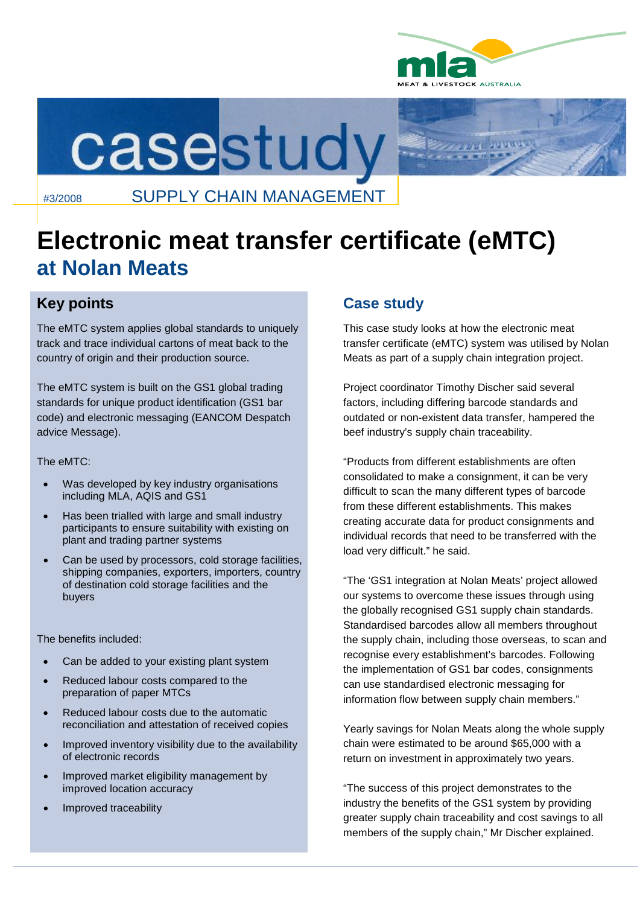



## #3/2008 SUPPLY CHAIN MANAGEMENT

# **Electronic meat transfer certificate (eMTC) at Nolan Meats**

### **Key points**

The eMTC system applies global standards to uniquely track and trace individual cartons of meat back to the country of origin and their production source.

The eMTC system is built on the GS1 global trading standards for unique product identification (GS1 bar code) and electronic messaging (EANCOM Despatch advice Message).

The eMTC:

- Was developed by key industry organisations including MLA, AQIS and GS1
- Has been trialled with large and small industry participants to ensure suitability with existing on plant and trading partner systems
- Can be used by processors, cold storage facilities, shipping companies, exporters, importers, country of destination cold storage facilities and the buyers

The benefits included:

- Can be added to your existing plant system
- Reduced labour costs compared to the preparation of paper MTCs
- Reduced labour costs due to the automatic reconciliation and attestation of received copies
- Improved inventory visibility due to the availability of electronic records
- Improved market eligibility management by improved location accuracy
- Improved traceability

### **Case study**

This case study looks at how the electronic meat transfer certificate (eMTC) system was utilised by Nolan Meats as part of a supply chain integration project.

Project coordinator Timothy Discher said several factors, including differing barcode standards and outdated or non-existent data transfer, hampered the beef industry's supply chain traceability.

"Products from different establishments are often consolidated to make a consignment, it can be very difficult to scan the many different types of barcode from these different establishments. This makes creating accurate data for product consignments and individual records that need to be transferred with the load very difficult." he said.

"The 'GS1 integration at Nolan Meats' project allowed our systems to overcome these issues through using the globally recognised GS1 supply chain standards. Standardised barcodes allow all members throughout the supply chain, including those overseas, to scan and recognise every establishment's barcodes. Following the implementation of GS1 bar codes, consignments can use standardised electronic messaging for information flow between supply chain members."

Yearly savings for Nolan Meats along the whole supply chain were estimated to be around \$65,000 with a return on investment in approximately two years.

"The success of this project demonstrates to the industry the benefits of the GS1 system by providing greater supply chain traceability and cost savings to all members of the supply chain," Mr Discher explained.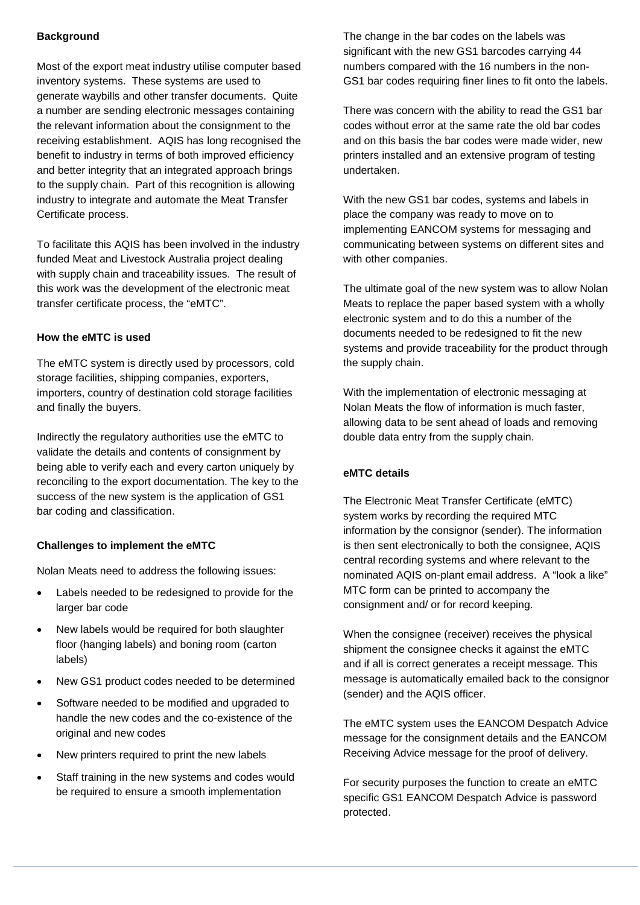#### **Background**

Most of the export meat industry utilise computer based inventory systems. These systems are used to generate waybills and other transfer documents. Quite a number are sending electronic messages containing the relevant information about the consignment to the receiving establishment. AQIS has long recognised the benefit to industry in terms of both improved efficiency and better integrity that an integrated approach brings to the supply chain. Part of this recognition is allowing industry to integrate and automate the Meat Transfer Certificate process.

To facilitate this AQIS has been involved in the industry funded Meat and Livestock Australia project dealing with supply chain and traceability issues. The result of this work was the development of the electronic meat transfer certificate process, the "eMTC".

#### **How the eMTC is used**

The eMTC system is directly used by processors, cold storage facilities, shipping companies, exporters, importers, country of destination cold storage facilities and finally the buyers.

Indirectly the regulatory authorities use the eMTC to validate the details and contents of consignment by being able to verify each and every carton uniquely by reconciling to the export documentation. The key to the success of the new system is the application of GS1 bar coding and classification.

#### **Challenges to implement the eMTC**

Nolan Meats need to address the following issues:

- Labels needed to be redesigned to provide for the larger bar code
- New labels would be required for both slaughter floor (hanging labels) and boning room (carton labels)
- New GS1 product codes needed to be determined
- Software needed to be modified and upgraded to handle the new codes and the co-existence of the original and new codes
- New printers required to print the new labels
- Staff training in the new systems and codes would be required to ensure a smooth implementation

The change in the bar codes on the labels was significant with the new GS1 barcodes carrying 44 numbers compared with the 16 numbers in the non-GS1 bar codes requiring finer lines to fit onto the labels.

There was concern with the ability to read the GS1 bar codes without error at the same rate the old bar codes and on this basis the bar codes were made wider, new printers installed and an extensive program of testing undertaken.

With the new GS1 bar codes, systems and labels in place the company was ready to move on to implementing EANCOM systems for messaging and communicating between systems on different sites and with other companies.

The ultimate goal of the new system was to allow Nolan Meats to replace the paper based system with a wholly electronic system and to do this a number of the documents needed to be redesigned to fit the new systems and provide traceability for the product through the supply chain.

With the implementation of electronic messaging at Nolan Meats the flow of information is much faster, allowing data to be sent ahead of loads and removing double data entry from the supply chain.

#### **eMTC details**

The Electronic Meat Transfer Certificate (eMTC) system works by recording the required MTC information by the consignor (sender). The information is then sent electronically to both the consignee, AQIS central recording systems and where relevant to the nominated AQIS on-plant email address. A "look a like" MTC form can be printed to accompany the consignment and/ or for record keeping.

When the consignee (receiver) receives the physical shipment the consignee checks it against the eMTC and if all is correct generates a receipt message. This message is automatically emailed back to the consignor (sender) and the AQIS officer.

The eMTC system uses the EANCOM Despatch Advice message for the consignment details and the EANCOM Receiving Advice message for the proof of delivery.

For security purposes the function to create an eMTC specific GS1 EANCOM Despatch Advice is password protected.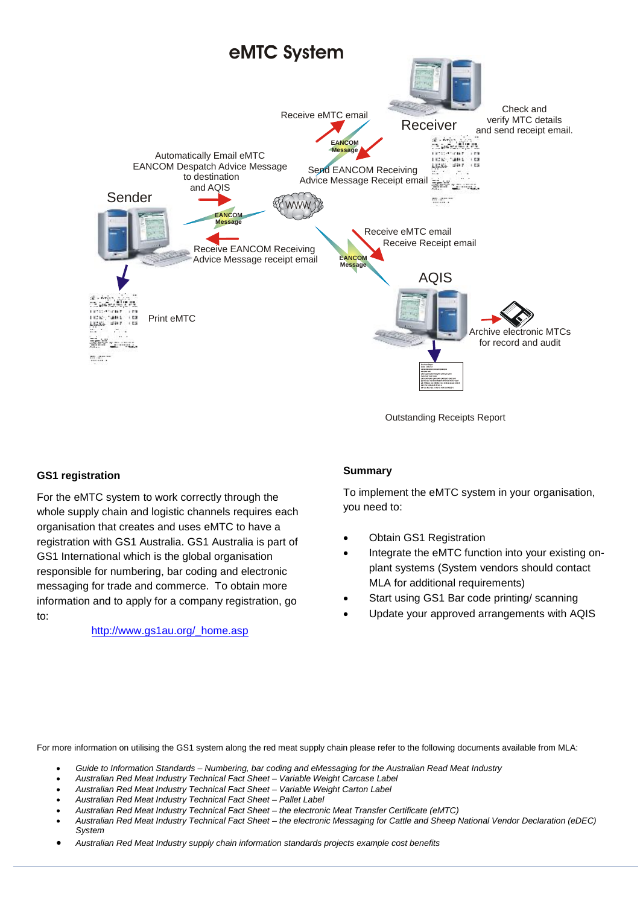## eMTC System



Outstanding Receipts Report

#### GS1 registration

For the eMTC system to work correctly through the whole supply chain and logistic channels requires each organisation that creates and uses eMTC to have a registration with GS1 Australia. GS1 Australia is part of GS1 International which is the global organisation responsible for numbering, bar coding and electronic messaging for trade and commerce. To obtain more information and to apply for a company registration, go to:

[http://www.gs1au.org/\\_hom](http://www.gs1au.org/_home.asp)e.asp

#### **Summary**

To implement the eMTC system in your organisation, you need to:

- ð· Obtain GS1 Registration
- ð· Integrate the eMTC function into your existing onplant systems (System vendors should contact MLA for additional requirements)
- ð· Start using GS1 Bar code printing/ scanning
- ð· Update your approved arrangements with AQIS

For more information on utilising the GS1 system along the red meat supply chain please refer to the following documents available from MLA:

- ð· Guide to Information Standards € Numbering, bar coding and eMessaging for the Australian Read Meat Industry
- ð· Australian Red Meat Industry Technical Fact Sheet € Variable Weight Carcase Label
- ð· Australian Red Meat Industry Technical Fact Sheet € Variable Weight Carton Label
- ð· Australian Red Meat Industry Technical Fact Sheet €Pallet Label
- ð· Australian Red Meat Industry Technical Fact Sheet € the electronic Meat Transfer Certificate (eMTC)
- ð· Australian Red Meat Industry Technical Fact Sheet € the electronic Messaging for Cattle and Sheep National Vendor Declaration (eDEC) System
- ð· Australian Red Meat Industry supply chain information standards projects example cost benefits